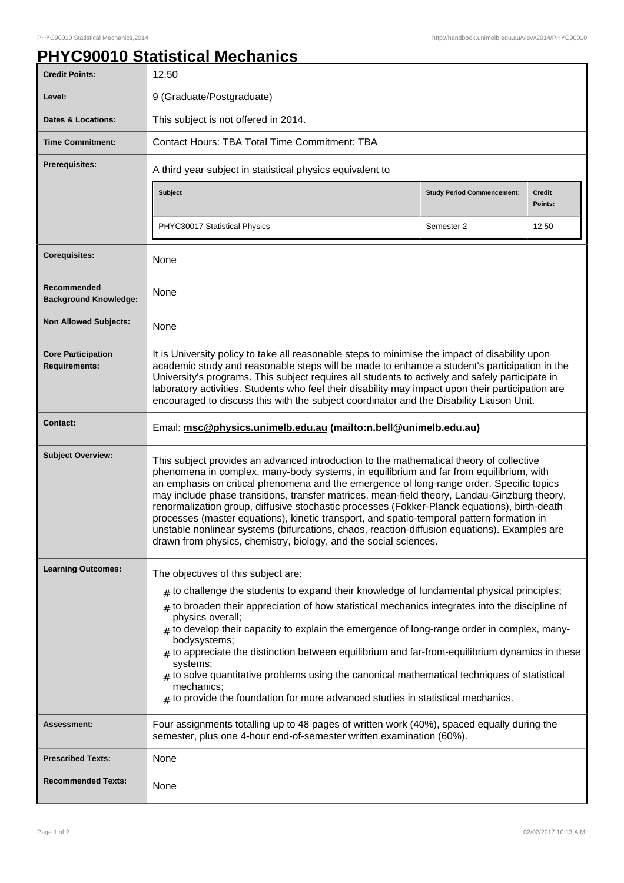## **PHYC90010 Statistical Mechanics**

| <b>Credit Points:</b>                             | 12.50                                                                                                                                                                                                                                                                                                                                                                                                                                                                                                                                                                                                                                                                                                                                          |                                   |                          |
|---------------------------------------------------|------------------------------------------------------------------------------------------------------------------------------------------------------------------------------------------------------------------------------------------------------------------------------------------------------------------------------------------------------------------------------------------------------------------------------------------------------------------------------------------------------------------------------------------------------------------------------------------------------------------------------------------------------------------------------------------------------------------------------------------------|-----------------------------------|--------------------------|
| Level:                                            | 9 (Graduate/Postgraduate)                                                                                                                                                                                                                                                                                                                                                                                                                                                                                                                                                                                                                                                                                                                      |                                   |                          |
| <b>Dates &amp; Locations:</b>                     | This subject is not offered in 2014.                                                                                                                                                                                                                                                                                                                                                                                                                                                                                                                                                                                                                                                                                                           |                                   |                          |
| <b>Time Commitment:</b>                           | <b>Contact Hours: TBA Total Time Commitment: TBA</b>                                                                                                                                                                                                                                                                                                                                                                                                                                                                                                                                                                                                                                                                                           |                                   |                          |
| <b>Prerequisites:</b>                             | A third year subject in statistical physics equivalent to                                                                                                                                                                                                                                                                                                                                                                                                                                                                                                                                                                                                                                                                                      |                                   |                          |
|                                                   | <b>Subject</b>                                                                                                                                                                                                                                                                                                                                                                                                                                                                                                                                                                                                                                                                                                                                 | <b>Study Period Commencement:</b> | <b>Credit</b><br>Points: |
|                                                   | PHYC30017 Statistical Physics                                                                                                                                                                                                                                                                                                                                                                                                                                                                                                                                                                                                                                                                                                                  | Semester 2                        | 12.50                    |
| <b>Corequisites:</b>                              | None                                                                                                                                                                                                                                                                                                                                                                                                                                                                                                                                                                                                                                                                                                                                           |                                   |                          |
| Recommended<br><b>Background Knowledge:</b>       | None                                                                                                                                                                                                                                                                                                                                                                                                                                                                                                                                                                                                                                                                                                                                           |                                   |                          |
| <b>Non Allowed Subjects:</b>                      | None                                                                                                                                                                                                                                                                                                                                                                                                                                                                                                                                                                                                                                                                                                                                           |                                   |                          |
| <b>Core Participation</b><br><b>Requirements:</b> | It is University policy to take all reasonable steps to minimise the impact of disability upon<br>academic study and reasonable steps will be made to enhance a student's participation in the<br>University's programs. This subject requires all students to actively and safely participate in<br>laboratory activities. Students who feel their disability may impact upon their participation are<br>encouraged to discuss this with the subject coordinator and the Disability Liaison Unit.                                                                                                                                                                                                                                             |                                   |                          |
| <b>Contact:</b>                                   | Email: msc@physics.unimelb.edu.au (mailto:n.bell@unimelb.edu.au)                                                                                                                                                                                                                                                                                                                                                                                                                                                                                                                                                                                                                                                                               |                                   |                          |
| <b>Subject Overview:</b>                          | This subject provides an advanced introduction to the mathematical theory of collective<br>phenomena in complex, many-body systems, in equilibrium and far from equilibrium, with<br>an emphasis on critical phenomena and the emergence of long-range order. Specific topics<br>may include phase transitions, transfer matrices, mean-field theory, Landau-Ginzburg theory,<br>renormalization group, diffusive stochastic processes (Fokker-Planck equations), birth-death<br>processes (master equations), kinetic transport, and spatio-temporal pattern formation in<br>unstable nonlinear systems (bifurcations, chaos, reaction-diffusion equations). Examples are<br>drawn from physics, chemistry, biology, and the social sciences. |                                   |                          |
| <b>Learning Outcomes:</b>                         | The objectives of this subject are:<br>$#$ to challenge the students to expand their knowledge of fundamental physical principles;<br>to broaden their appreciation of how statistical mechanics integrates into the discipline of<br>#<br>physics overall;<br>to develop their capacity to explain the emergence of long-range order in complex, many-<br>bodysystems;<br>to appreciate the distinction between equilibrium and far-from-equilibrium dynamics in these<br>systems;<br>$_{\#}$ to solve quantitative problems using the canonical mathematical techniques of statistical<br>mechanics;<br>$#$ to provide the foundation for more advanced studies in statistical mechanics.                                                    |                                   |                          |
| <b>Assessment:</b>                                | Four assignments totalling up to 48 pages of written work (40%), spaced equally during the<br>semester, plus one 4-hour end-of-semester written examination (60%).                                                                                                                                                                                                                                                                                                                                                                                                                                                                                                                                                                             |                                   |                          |
| <b>Prescribed Texts:</b>                          | None                                                                                                                                                                                                                                                                                                                                                                                                                                                                                                                                                                                                                                                                                                                                           |                                   |                          |
| <b>Recommended Texts:</b>                         | None                                                                                                                                                                                                                                                                                                                                                                                                                                                                                                                                                                                                                                                                                                                                           |                                   |                          |